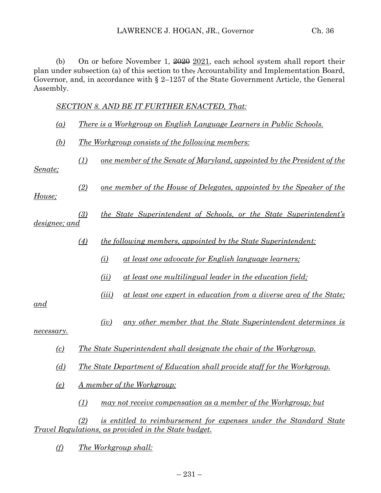(b) On or before November 1,  $\frac{2020}{2021}$ , each school system shall report their plan under subsection (a) of this section to the, Accountability and Implementation Board, Governor, and, in accordance with § 2–1257 of the State Government Article, the General Assembly.

*SECTION 8. AND BE IT FURTHER ENACTED, That:*

- *(a) There is a Workgroup on English Language Learners in Public Schools.*
- *(b) The Workgroup consists of the following members:*
	- *(1) one member of the Senate of Maryland, appointed by the President of the*

*Senate;*

*(2) one member of the House of Delegates, appointed by the Speaker of the* 

*House;*

- *(3) the State Superintendent of Schools, or the State Superintendent's designee; and*
	- *(4) the following members, appointed by the State Superintendent:*
		- *(i) at least one advocate for English language learners;*
		- *(ii) at least one multilingual leader in the education field;*
		- *(iii) at least one expert in education from a diverse area of the State;*

*and*

*(iv) any other member that the State Superintendent determines is* 

*necessary.*

- *(c) The State Superintendent shall designate the chair of the Workgroup.*
- *(d) The State Department of Education shall provide staff for the Workgroup.*
- *(e) A member of the Workgroup:*
	- *(1) may not receive compensation as a member of the Workgroup; but*

*(2) is entitled to reimbursement for expenses under the Standard State Travel Regulations, as provided in the State budget.*

*(f) The Workgroup shall:*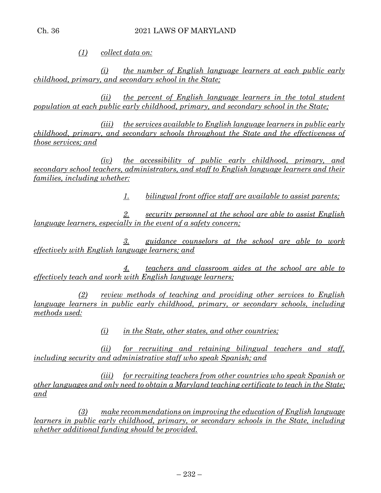*(1) collect data on:*

*(i) the number of English language learners at each public early childhood, primary, and secondary school in the State;*

*(ii) the percent of English language learners in the total student population at each public early childhood, primary, and secondary school in the State;*

*(iii) the services available to English language learners in public early childhood, primary, and secondary schools throughout the State and the effectiveness of those services; and*

*(iv) the accessibility of public early childhood, primary, and secondary school teachers, administrators, and staff to English language learners and their families, including whether:*

*1. bilingual front office staff are available to assist parents;*

*2. security personnel at the school are able to assist English language learners, especially in the event of a safety concern;*

*3. guidance counselors at the school are able to work effectively with English language learners; and*

*4. teachers and classroom aides at the school are able to effectively teach and work with English language learners;*

*(2) review methods of teaching and providing other services to English language learners in public early childhood, primary, or secondary schools, including methods used:*

*(i) in the State, other states, and other countries;*

*(ii) for recruiting and retaining bilingual teachers and staff, including security and administrative staff who speak Spanish; and*

*(iii) for recruiting teachers from other countries who speak Spanish or other languages and only need to obtain a Maryland teaching certificate to teach in the State; and*

*(3) make recommendations on improving the education of English language learners in public early childhood, primary, or secondary schools in the State, including whether additional funding should be provided.*